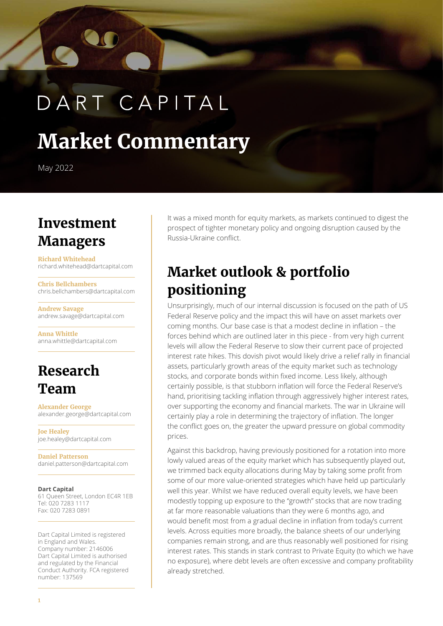# DART CAPITAL

## **Market Commentary**

May 2022

#### **Investment Managers**

**Richard Whitehead** richard.whitehead@dartcapital.com

**Chris Bellchambers** chris.bellchambers@dartcapital.com

**Andrew Savage** andrew.savage@dartcapital.com

**Anna Whittle** anna.whittle@dartcapital.com

#### **Research Team**

**Alexander George** alexander.george@dartcapital.com

**Joe Healey** joe.healey@dartcapital.com

**Daniel Patterson** daniel.patterson@dartcapital.com

#### **Dart Capital**

61 Queen Street, London EC4R 1EB Tel: 020 7283 1117 Fax: 020 7283 0891

Dart Capital Limited is registered in England and Wales. Company number: 2146006 Dart Capital Limited is authorised and regulated by the Financial Conduct Authority. FCA registered number: 137569

It was a mixed month for equity markets, as markets continued to digest the prospect of tighter monetary policy and ongoing disruption caused by the Russia-Ukraine conflict.

#### **Market outlook & portfolio positioning**

Unsurprisingly, much of our internal discussion is focused on the path of US Federal Reserve policy and the impact this will have on asset markets over coming months. Our base case is that a modest decline in inflation – the forces behind which are outlined later in this piece - from very high current levels will allow the Federal Reserve to slow their current pace of projected interest rate hikes. This dovish pivot would likely drive a relief rally in financial assets, particularly growth areas of the equity market such as technology stocks, and corporate bonds within fixed income. Less likely, although certainly possible, is that stubborn inflation will force the Federal Reserve's hand, prioritising tackling inflation through aggressively higher interest rates, over supporting the economy and financial markets. The war in Ukraine will certainly play a role in determining the trajectory of inflation. The longer the conflict goes on, the greater the upward pressure on global commodity prices.

Against this backdrop, having previously positioned for a rotation into more lowly valued areas of the equity market which has subsequently played out, we trimmed back equity allocations during May by taking some profit from some of our more value-oriented strategies which have held up particularly well this year. Whilst we have reduced overall equity levels, we have been modestly topping up exposure to the "growth" stocks that are now trading at far more reasonable valuations than they were 6 months ago, and would benefit most from a gradual decline in inflation from today's current levels. Across equities more broadly, the balance sheets of our underlying companies remain strong, and are thus reasonably well positioned for rising interest rates. This stands in stark contrast to Private Equity (to which we have no exposure), where debt levels are often excessive and company profitability already stretched.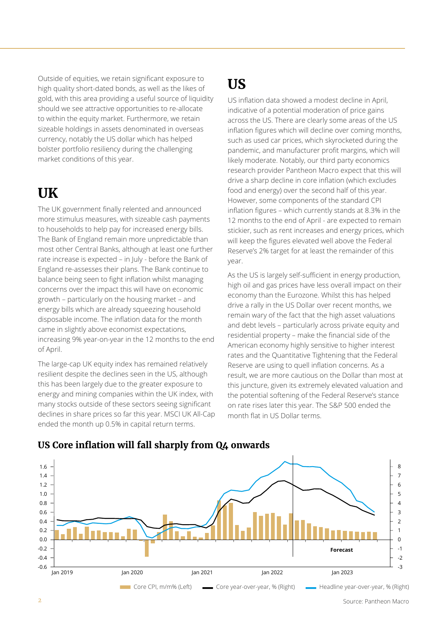Outside of equities, we retain significant exposure to high quality short-dated bonds, as well as the likes of gold, with this area providing a useful source of liquidity should we see attractive opportunities to re-allocate to within the equity market. Furthermore, we retain sizeable holdings in assets denominated in overseas currency, notably the US dollar which has helped bolster portfolio resiliency during the challenging market conditions of this year.

#### **UK**

The UK government finally relented and announced more stimulus measures, with sizeable cash payments to households to help pay for increased energy bills. The Bank of England remain more unpredictable than most other Central Banks, although at least one further rate increase is expected – in July - before the Bank of England re-assesses their plans. The Bank continue to balance being seen to fight inflation whilst managing concerns over the impact this will have on economic growth – particularly on the housing market – and energy bills which are already squeezing household disposable income. The inflation data for the month came in slightly above economist expectations, increasing 9% year-on-year in the 12 months to the end of April.

The large-cap UK equity index has remained relatively resilient despite the declines seen in the US, although this has been largely due to the greater exposure to energy and mining companies within the UK index, with many stocks outside of these sectors seeing significant declines in share prices so far this year. MSCI UK All-Cap ended the month up 0.5% in capital return terms.

## **US**

US inflation data showed a modest decline in April, indicative of a potential moderation of price gains across the US. There are clearly some areas of the US inflation figures which will decline over coming months, such as used car prices, which skyrocketed during the pandemic, and manufacturer profit margins, which will likely moderate. Notably, our third party economics research provider Pantheon Macro expect that this will drive a sharp decline in core inflation (which excludes food and energy) over the second half of this year. However, some components of the standard CPI inflation figures – which currently stands at 8.3% in the 12 months to the end of April - are expected to remain stickier, such as rent increases and energy prices, which will keep the figures elevated well above the Federal Reserve's 2% target for at least the remainder of this year.

As the US is largely self-sufficient in energy production, high oil and gas prices have less overall impact on their economy than the Eurozone. Whilst this has helped drive a rally in the US Dollar over recent months, we remain wary of the fact that the high asset valuations and debt levels – particularly across private equity and residential property – make the financial side of the American economy highly sensitive to higher interest rates and the Quantitative Tightening that the Federal Reserve are using to quell inflation concerns. As a result, we are more cautious on the Dollar than most at this juncture, given its extremely elevated valuation and the potential softening of the Federal Reserve's stance on rate rises later this year. The S&P 500 ended the month flat in US Dollar terms.



#### **US Core inflation will fall sharply from Q4 onwards**